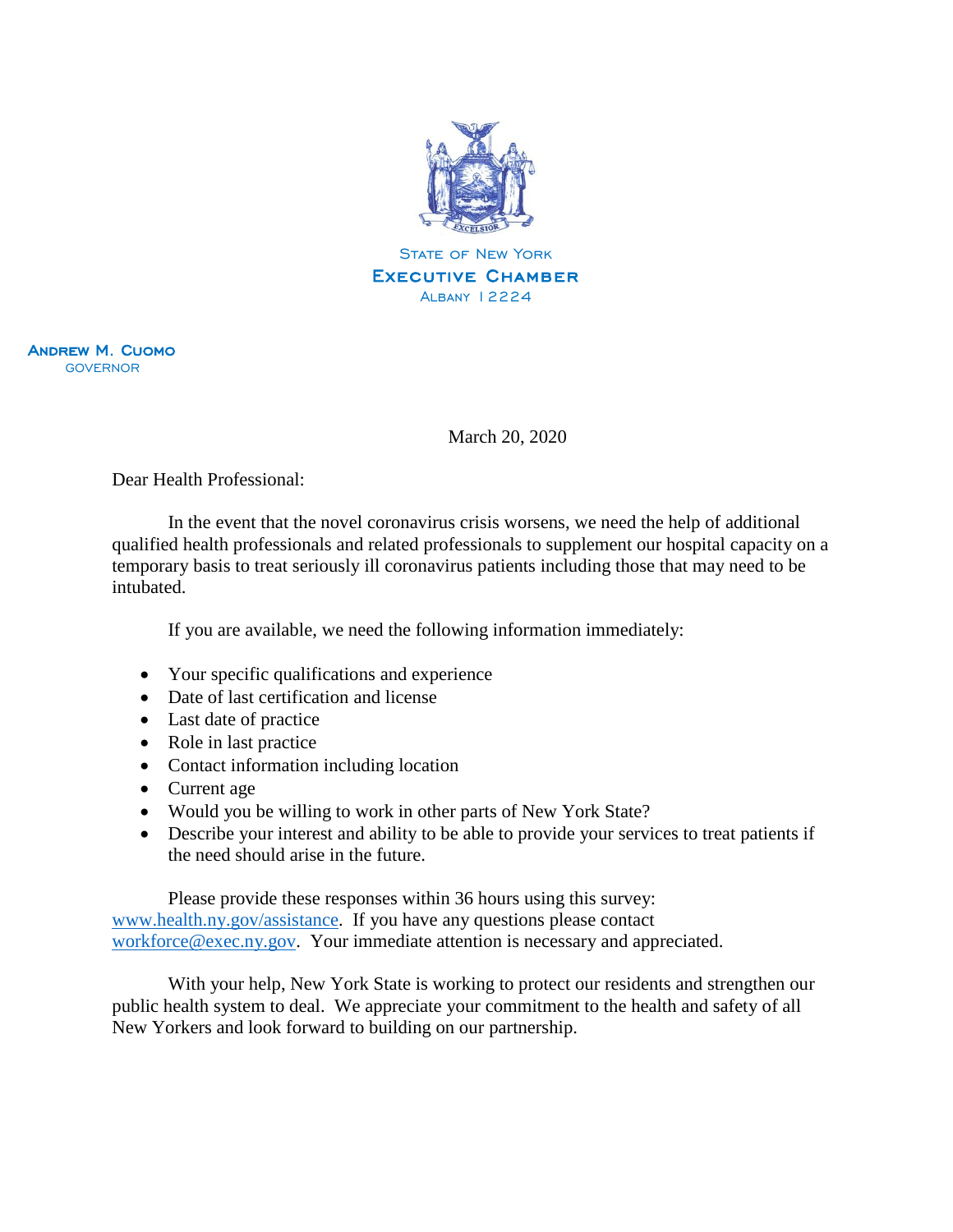

Andrew M. Cuomo GOVERNOR

March 20, 2020

Dear Health Professional:

In the event that the novel coronavirus crisis worsens, we need the help of additional qualified health professionals and related professionals to supplement our hospital capacity on a temporary basis to treat seriously ill coronavirus patients including those that may need to be intubated.

If you are available, we need the following information immediately:

- Your specific qualifications and experience
- Date of last certification and license
- Last date of practice
- Role in last practice
- Contact information including location
- Current age
- Would you be willing to work in other parts of New York State?
- Describe your interest and ability to be able to provide your services to treat patients if the need should arise in the future.

Please provide these responses within 36 hours using this survey: [www.health.ny.gov/assistance.](http://www.health.ny.gov/assistance) If you have any questions please contact [workforce@exec.ny.gov.](mailto:workforce@exec.ny.gov) Your immediate attention is necessary and appreciated.

With your help, New York State is working to protect our residents and strengthen our public health system to deal. We appreciate your commitment to the health and safety of all New Yorkers and look forward to building on our partnership.